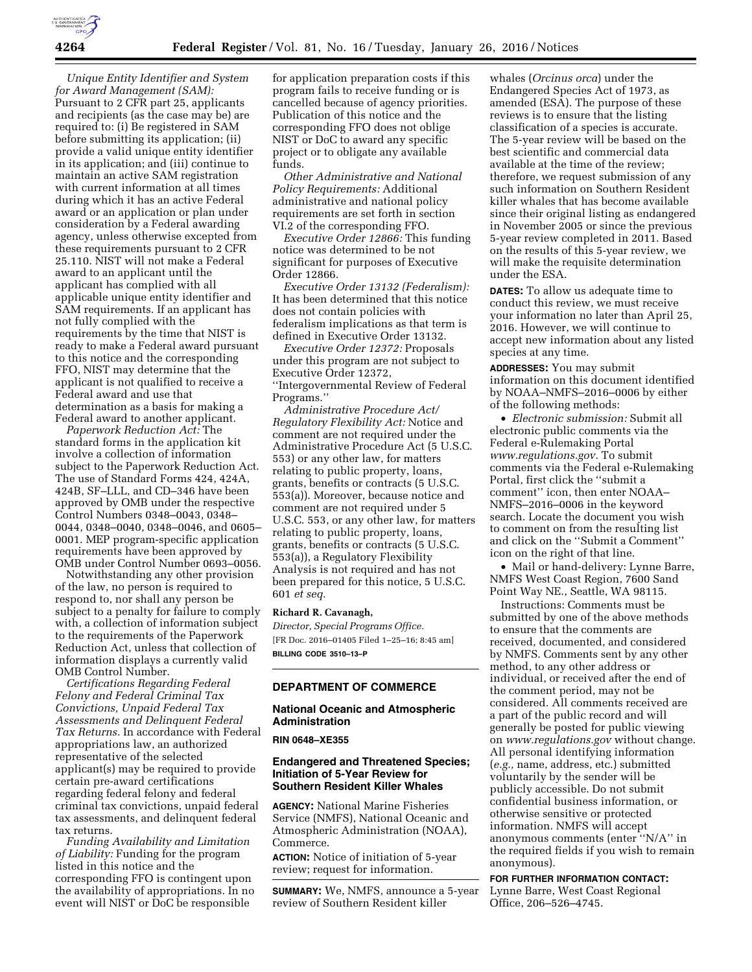

*Unique Entity Identifier and System for Award Management (SAM):*  Pursuant to 2 CFR part 25, applicants and recipients (as the case may be) are required to: (i) Be registered in SAM before submitting its application; (ii) provide a valid unique entity identifier in its application; and (iii) continue to maintain an active SAM registration with current information at all times during which it has an active Federal award or an application or plan under consideration by a Federal awarding agency, unless otherwise excepted from these requirements pursuant to 2 CFR 25.110. NIST will not make a Federal award to an applicant until the applicant has complied with all applicable unique entity identifier and SAM requirements. If an applicant has not fully complied with the requirements by the time that NIST is ready to make a Federal award pursuant to this notice and the corresponding FFO, NIST may determine that the applicant is not qualified to receive a Federal award and use that determination as a basis for making a Federal award to another applicant.

*Paperwork Reduction Act:* The standard forms in the application kit involve a collection of information subject to the Paperwork Reduction Act. The use of Standard Forms 424, 424A, 424B, SF–LLL, and CD–346 have been approved by OMB under the respective Control Numbers 0348–0043, 0348– 0044, 0348–0040, 0348–0046, and 0605– 0001. MEP program-specific application requirements have been approved by OMB under Control Number 0693–0056.

Notwithstanding any other provision of the law, no person is required to respond to, nor shall any person be subject to a penalty for failure to comply with, a collection of information subject to the requirements of the Paperwork Reduction Act, unless that collection of information displays a currently valid OMB Control Number.

*Certifications Regarding Federal Felony and Federal Criminal Tax Convictions, Unpaid Federal Tax Assessments and Delinquent Federal Tax Returns.* In accordance with Federal appropriations law, an authorized representative of the selected applicant(s) may be required to provide certain pre-award certifications regarding federal felony and federal criminal tax convictions, unpaid federal tax assessments, and delinquent federal tax returns.

*Funding Availability and Limitation of Liability:* Funding for the program listed in this notice and the corresponding FFO is contingent upon the availability of appropriations. In no event will NIST or DoC be responsible

for application preparation costs if this program fails to receive funding or is cancelled because of agency priorities. Publication of this notice and the corresponding FFO does not oblige NIST or DoC to award any specific project or to obligate any available funds.

*Other Administrative and National Policy Requirements:* Additional administrative and national policy requirements are set forth in section VI.2 of the corresponding FFO.

*Executive Order 12866:* This funding notice was determined to be not significant for purposes of Executive Order 12866.

*Executive Order 13132 (Federalism):*  It has been determined that this notice does not contain policies with federalism implications as that term is defined in Executive Order 13132.

*Executive Order 12372:* Proposals under this program are not subject to Executive Order 12372, ''Intergovernmental Review of Federal Programs.''

*Administrative Procedure Act/ Regulatory Flexibility Act:* Notice and comment are not required under the Administrative Procedure Act (5 U.S.C. 553) or any other law, for matters relating to public property, loans, grants, benefits or contracts (5 U.S.C. 553(a)). Moreover, because notice and comment are not required under 5 U.S.C. 553, or any other law, for matters relating to public property, loans, grants, benefits or contracts (5 U.S.C. 553(a)), a Regulatory Flexibility Analysis is not required and has not been prepared for this notice, 5 U.S.C. 601 *et seq.* 

#### **Richard R. Cavanagh,**

*Director, Special Programs Office.*  [FR Doc. 2016–01405 Filed 1–25–16; 8:45 am] **BILLING CODE 3510–13–P** 

## **DEPARTMENT OF COMMERCE**

## **National Oceanic and Atmospheric Administration**

**RIN 0648–XE355** 

### **Endangered and Threatened Species; Initiation of 5-Year Review for Southern Resident Killer Whales**

**AGENCY:** National Marine Fisheries Service (NMFS), National Oceanic and Atmospheric Administration (NOAA), Commerce.

**ACTION:** Notice of initiation of 5-year review; request for information.

**SUMMARY:** We, NMFS, announce a 5-year review of Southern Resident killer

whales (*Orcinus orca*) under the Endangered Species Act of 1973, as amended (ESA). The purpose of these reviews is to ensure that the listing classification of a species is accurate. The 5-year review will be based on the best scientific and commercial data available at the time of the review; therefore, we request submission of any such information on Southern Resident killer whales that has become available since their original listing as endangered in November 2005 or since the previous 5-year review completed in 2011. Based on the results of this 5-year review, we will make the requisite determination under the ESA.

**DATES:** To allow us adequate time to conduct this review, we must receive your information no later than April 25, 2016. However, we will continue to accept new information about any listed species at any time.

**ADDRESSES:** You may submit information on this document identified by NOAA–NMFS–2016–0006 by either of the following methods:

• *Electronic submission:* Submit all electronic public comments via the Federal e-Rulemaking Portal *[www.regulations.gov.](http://www.regulations.gov)* To submit comments via the Federal e-Rulemaking Portal, first click the ''submit a comment'' icon, then enter NOAA– NMFS–2016–0006 in the keyword search. Locate the document you wish to comment on from the resulting list and click on the ''Submit a Comment'' icon on the right of that line.

• Mail or hand-delivery: Lynne Barre, NMFS West Coast Region, 7600 Sand Point Way NE., Seattle, WA 98115.

Instructions: Comments must be submitted by one of the above methods to ensure that the comments are received, documented, and considered by NMFS. Comments sent by any other method, to any other address or individual, or received after the end of the comment period, may not be considered. All comments received are a part of the public record and will generally be posted for public viewing on *[www.regulations.gov](http://www.regulations.gov)* without change. All personal identifying information (*e.g.,* name, address, etc.) submitted voluntarily by the sender will be publicly accessible. Do not submit confidential business information, or otherwise sensitive or protected information. NMFS will accept anonymous comments (enter ''N/A'' in the required fields if you wish to remain anonymous).

**FOR FURTHER INFORMATION CONTACT:**  Lynne Barre, West Coast Regional Office, 206–526–4745.